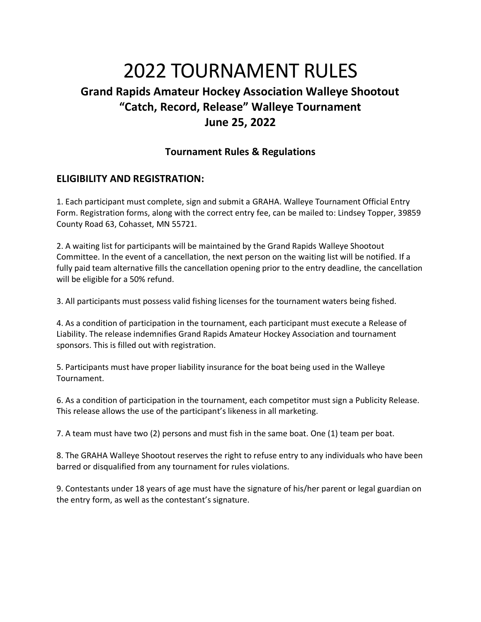# 2022 TOURNAMENT RULES **Grand Rapids Amateur Hockey Association Walleye Shootout "Catch, Record, Release" Walleye Tournament June 25, 2022**

## **Tournament Rules & Regulations**

## **ELIGIBILITY AND REGISTRATION:**

1. Each participant must complete, sign and submit a GRAHA. Walleye Tournament Official Entry Form. Registration forms, along with the correct entry fee, can be mailed to: Lindsey Topper, 39859 County Road 63, Cohasset, MN 55721.

2. A waiting list for participants will be maintained by the Grand Rapids Walleye Shootout Committee. In the event of a cancellation, the next person on the waiting list will be notified. If a fully paid team alternative fills the cancellation opening prior to the entry deadline, the cancellation will be eligible for a 50% refund.

3. All participants must possess valid fishing licenses for the tournament waters being fished.

4. As a condition of participation in the tournament, each participant must execute a Release of Liability. The release indemnifies Grand Rapids Amateur Hockey Association and tournament sponsors. This is filled out with registration.

5. Participants must have proper liability insurance for the boat being used in the Walleye Tournament.

6. As a condition of participation in the tournament, each competitor must sign a Publicity Release. This release allows the use of the participant's likeness in all marketing.

7. A team must have two (2) persons and must fish in the same boat. One (1) team per boat.

8. The GRAHA Walleye Shootout reserves the right to refuse entry to any individuals who have been barred or disqualified from any tournament for rules violations.

9. Contestants under 18 years of age must have the signature of his/her parent or legal guardian on the entry form, as well as the contestant's signature.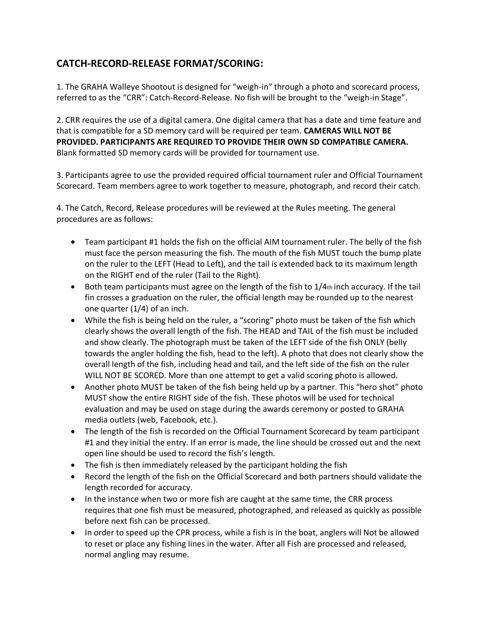# **CATCH-RECORD-RELEASE FORMAT/SCORING:**

1. The GRAHA Walleye Shootout is designed for "weigh-in" through a photo and scorecard process, referred to as the "CRR": Catch-Record-Release. No fish will be brought to the "weigh-in Stage".

2. CRR requires the use of a digital camera. One digital camera that has a date and time feature and that is compatible for a SD memory card will be required per team. **CAMERAS WILL NOT BE PROVIDED. PARTICIPANTS ARE REQUIRED TO PROVIDE THEIR OWN SD COMPATIBLE CAMERA.** Blank formatted SD memory cards will be provided for tournament use.

3. Participants agree to use the provided required official tournament ruler and Official Tournament Scorecard. Team members agree to work together to measure, photograph, and record their catch.

4. The Catch, Record, Release procedures will be reviewed at the Rules meeting. The general procedures are as follows:

- Team participant #1 holds the fish on the official AIM tournament ruler. The belly of the fish must face the person measuring the fish. The mouth of the fish MUST touch the bump plate on the ruler to the LEFT (Head to Left), and the tail is extended back to its maximum length on the RIGHT end of the ruler (Tail to the Right).
- Both team participants must agree on the length of the fish to  $1/4$ th inch accuracy. If the tail fin crosses a graduation on the ruler, the official length may be rounded up to the nearest one quarter (1/4) of an inch.
- While the fish is being held on the ruler, a "scoring" photo must be taken of the fish which clearly shows the overall length of the fish. The HEAD and TAIL of the fish must be included and show clearly. The photograph must be taken of the LEFT side of the fish ONLY (belly towards the angler holding the fish, head to the left). A photo that does not clearly show the overall length of the fish, including head and tail, and the left side of the fish on the ruler WILL NOT BE SCORED. More than one attempt to get a valid scoring photo is allowed.
- Another photo MUST be taken of the fish being held up by a partner. This "hero shot" photo MUST show the entire RIGHT side of the fish. These photos will be used for technical evaluation and may be used on stage during the awards ceremony or posted to GRAHA media outlets (web, Facebook, etc.).
- The length of the fish is recorded on the Official Tournament Scorecard by team participant #1 and they initial the entry. If an error is made, the line should be crossed out and the next open line should be used to record the fish's length.
- The fish is then immediately released by the participant holding the fish
- Record the length of the fish on the Official Scorecard and both partners should validate the length recorded for accuracy.
- In the instance when two or more fish are caught at the same time, the CRR process requires that one fish must be measured, photographed, and released as quickly as possible before next fish can be processed.
- In order to speed up the CPR process, while a fish is in the boat, anglers will Not be allowed to reset or place any fishing lines in the water. After all Fish are processed and released, normal angling may resume.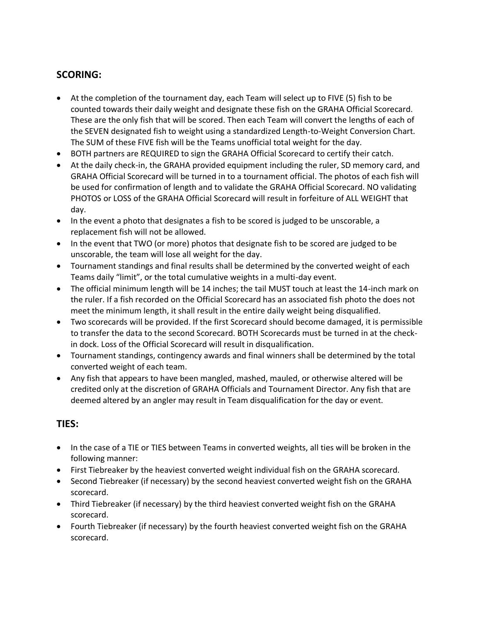# **SCORING:**

- At the completion of the tournament day, each Team will select up to FIVE (5) fish to be counted towards their daily weight and designate these fish on the GRAHA Official Scorecard. These are the only fish that will be scored. Then each Team will convert the lengths of each of the SEVEN designated fish to weight using a standardized Length-to-Weight Conversion Chart. The SUM of these FIVE fish will be the Teams unofficial total weight for the day.
- BOTH partners are REQUIRED to sign the GRAHA Official Scorecard to certify their catch.
- At the daily check-in, the GRAHA provided equipment including the ruler, SD memory card, and GRAHA Official Scorecard will be turned in to a tournament official. The photos of each fish will be used for confirmation of length and to validate the GRAHA Official Scorecard. NO validating PHOTOS or LOSS of the GRAHA Official Scorecard will result in forfeiture of ALL WEIGHT that day.
- In the event a photo that designates a fish to be scored is judged to be unscorable, a replacement fish will not be allowed.
- In the event that TWO (or more) photos that designate fish to be scored are judged to be unscorable, the team will lose all weight for the day.
- Tournament standings and final results shall be determined by the converted weight of each Teams daily "limit", or the total cumulative weights in a multi-day event.
- The official minimum length will be 14 inches; the tail MUST touch at least the 14-inch mark on the ruler. If a fish recorded on the Official Scorecard has an associated fish photo the does not meet the minimum length, it shall result in the entire daily weight being disqualified.
- Two scorecards will be provided. If the first Scorecard should become damaged, it is permissible to transfer the data to the second Scorecard. BOTH Scorecards must be turned in at the checkin dock. Loss of the Official Scorecard will result in disqualification.
- Tournament standings, contingency awards and final winners shall be determined by the total converted weight of each team.
- Any fish that appears to have been mangled, mashed, mauled, or otherwise altered will be credited only at the discretion of GRAHA Officials and Tournament Director. Any fish that are deemed altered by an angler may result in Team disqualification for the day or event.

# **TIES:**

- In the case of a TIE or TIES between Teams in converted weights, all ties will be broken in the following manner:
- First Tiebreaker by the heaviest converted weight individual fish on the GRAHA scorecard.
- Second Tiebreaker (if necessary) by the second heaviest converted weight fish on the GRAHA scorecard.
- Third Tiebreaker (if necessary) by the third heaviest converted weight fish on the GRAHA scorecard.
- Fourth Tiebreaker (if necessary) by the fourth heaviest converted weight fish on the GRAHA scorecard.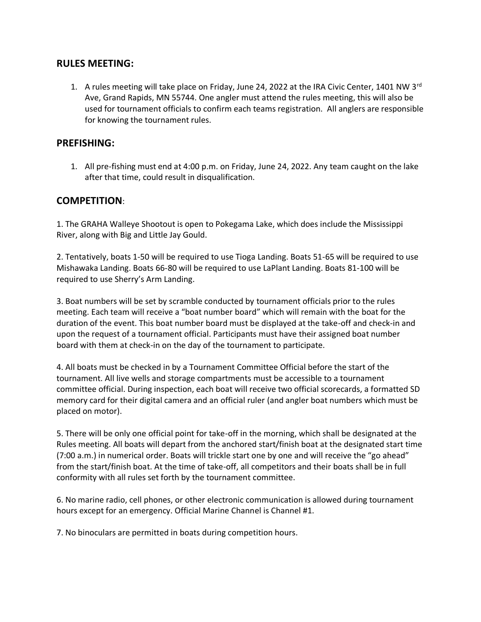#### **RULES MEETING:**

1. A rules meeting will take place on Friday, June 24, 2022 at the IRA Civic Center, 1401 NW 3 $^{rd}$ Ave, Grand Rapids, MN 55744. One angler must attend the rules meeting, this will also be used for tournament officials to confirm each teams registration. All anglers are responsible for knowing the tournament rules.

#### **PREFISHING:**

1. All pre-fishing must end at 4:00 p.m. on Friday, June 24, 2022. Any team caught on the lake after that time, could result in disqualification.

#### **COMPETITION**:

1. The GRAHA Walleye Shootout is open to Pokegama Lake, which does include the Mississippi River, along with Big and Little Jay Gould.

2. Tentatively, boats 1-50 will be required to use Tioga Landing. Boats 51-65 will be required to use Mishawaka Landing. Boats 66-80 will be required to use LaPlant Landing. Boats 81-100 will be required to use Sherry's Arm Landing.

3. Boat numbers will be set by scramble conducted by tournament officials prior to the rules meeting. Each team will receive a "boat number board" which will remain with the boat for the duration of the event. This boat number board must be displayed at the take-off and check-in and upon the request of a tournament official. Participants must have their assigned boat number board with them at check-in on the day of the tournament to participate.

4. All boats must be checked in by a Tournament Committee Official before the start of the tournament. All live wells and storage compartments must be accessible to a tournament committee official. During inspection, each boat will receive two official scorecards, a formatted SD memory card for their digital camera and an official ruler (and angler boat numbers which must be placed on motor).

5. There will be only one official point for take-off in the morning, which shall be designated at the Rules meeting. All boats will depart from the anchored start/finish boat at the designated start time (7:00 a.m.) in numerical order. Boats will trickle start one by one and will receive the "go ahead" from the start/finish boat. At the time of take-off, all competitors and their boats shall be in full conformity with all rules set forth by the tournament committee.

6. No marine radio, cell phones, or other electronic communication is allowed during tournament hours except for an emergency. Official Marine Channel is Channel #1.

7. No binoculars are permitted in boats during competition hours.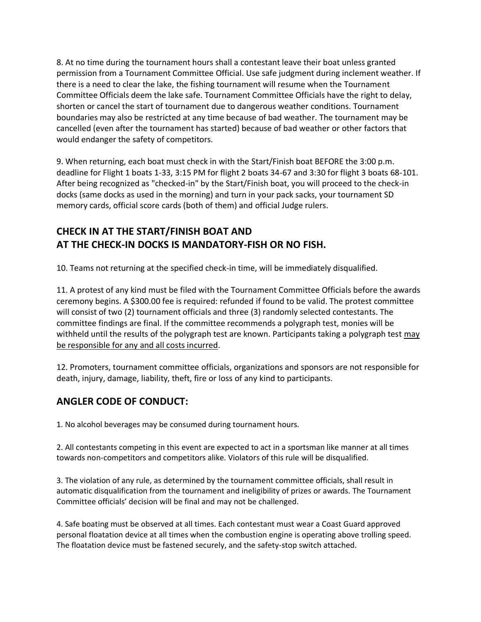8. At no time during the tournament hours shall a contestant leave their boat unless granted permission from a Tournament Committee Official. Use safe judgment during inclement weather. If there is a need to clear the lake, the fishing tournament will resume when the Tournament Committee Officials deem the lake safe. Tournament Committee Officials have the right to delay, shorten or cancel the start of tournament due to dangerous weather conditions. Tournament boundaries may also be restricted at any time because of bad weather. The tournament may be cancelled (even after the tournament has started) because of bad weather or other factors that would endanger the safety of competitors.

9. When returning, each boat must check in with the Start/Finish boat BEFORE the 3:00 p.m. deadline for Flight 1 boats 1-33, 3:15 PM for flight 2 boats 34-67 and 3:30 for flight 3 boats 68-101. After being recognized as "checked-in" by the Start/Finish boat, you will proceed to the check-in docks (same docks as used in the morning) and turn in your pack sacks, your tournament SD memory cards, official score cards (both of them) and official Judge rulers.

# **CHECK IN AT THE START/FINISH BOAT AND AT THE CHECK-IN DOCKS IS MANDATORY-FISH OR NO FISH.**

10. Teams not returning at the specified check-in time, will be immediately disqualified.

11. A protest of any kind must be filed with the Tournament Committee Officials before the awards ceremony begins. A \$300.00 fee is required: refunded if found to be valid. The protest committee will consist of two (2) tournament officials and three (3) randomly selected contestants. The committee findings are final. If the committee recommends a polygraph test, monies will be withheld until the results of the polygraph test are known. Participants taking a polygraph test may be responsible for any and all costs incurred.

12. Promoters, tournament committee officials, organizations and sponsors are not responsible for death, injury, damage, liability, theft, fire or loss of any kind to participants.

# **ANGLER CODE OF CONDUCT:**

1. No alcohol beverages may be consumed during tournament hours.

2. All contestants competing in this event are expected to act in a sportsman like manner at all times towards non-competitors and competitors alike. Violators of this rule will be disqualified.

3. The violation of any rule, as determined by the tournament committee officials, shall result in automatic disqualification from the tournament and ineligibility of prizes or awards. The Tournament Committee officials' decision will be final and may not be challenged.

4. Safe boating must be observed at all times. Each contestant must wear a Coast Guard approved personal floatation device at all times when the combustion engine is operating above trolling speed. The floatation device must be fastened securely, and the safety-stop switch attached.